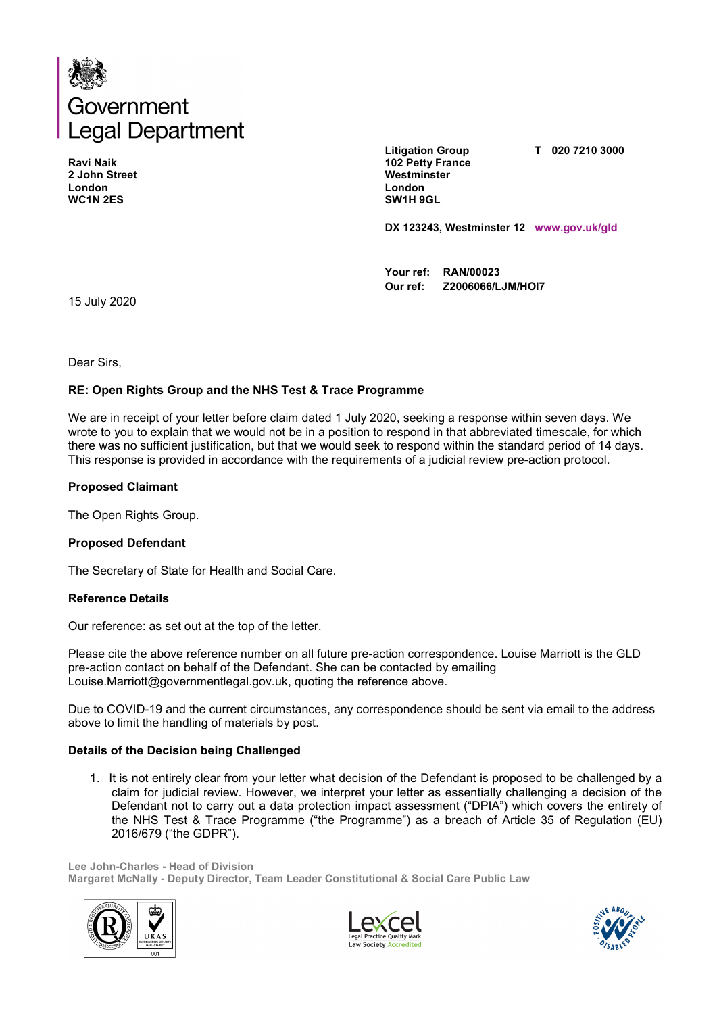

**Ravi Naik 2 John Street London WC1N 2ES**

**Litigation Group 102 Petty France Westminster London SW1H 9GL**

**T 020 7210 3000**

**DX 123243, Westminster 12 www.gov.uk/gld**

**Your ref: RAN/00023 Our ref: Z2006066/LJM/HOI7**

15 July 2020

Dear Sirs,

## **RE: Open Rights Group and the NHS Test & Trace Programme**

We are in receipt of your letter before claim dated 1 July 2020, seeking a response within seven days. We wrote to you to explain that we would not be in a position to respond in that abbreviated timescale, for which there was no sufficient justification, but that we would seek to respond within the standard period of 14 days. This response is provided in accordance with the requirements of a judicial review pre-action protocol.

### **Proposed Claimant**

The Open Rights Group.

### **Proposed Defendant**

The Secretary of State for Health and Social Care.

#### **Reference Details**

Our reference: as set out at the top of the letter.

Please cite the above reference number on all future pre-action correspondence. Louise Marriott is the GLD pre-action contact on behalf of the Defendant. She can be contacted by emailing Louise.Marriott@governmentlegal.gov.uk, quoting the reference above.

Due to COVID-19 and the current circumstances, any correspondence should be sent via email to the address above to limit the handling of materials by post.

### **Details of the Decision being Challenged**

1. It is not entirely clear from your letter what decision of the Defendant is proposed to be challenged by a claim for judicial review. However, we interpret your letter as essentially challenging a decision of the Defendant not to carry out a data protection impact assessment ("DPIA") which covers the entirety of the NHS Test & Trace Programme ("the Programme") as a breach of Article 35 of Regulation (EU) 2016/679 ("the GDPR").

**Lee John-Charles - Head of Division Margaret McNally - Deputy Director, Team Leader Constitutional & Social Care Public Law**





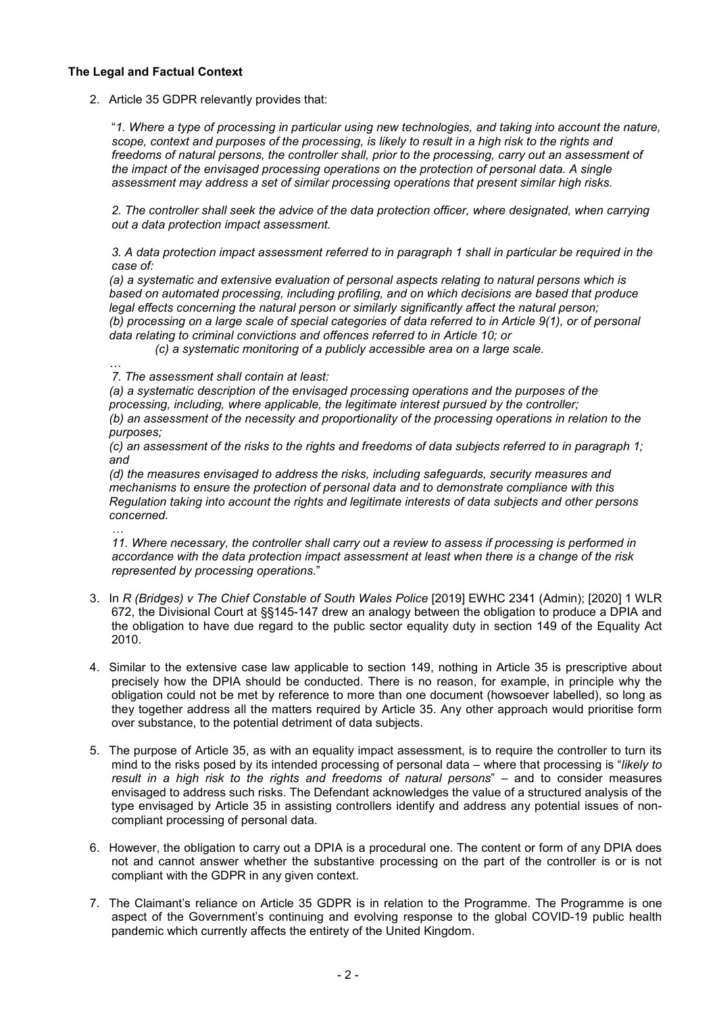# **The Legal and Factual Context**

2. Article 35 GDPR relevantly provides that:

"*1. Where a type of processing in particular using new technologies, and taking into account the nature, scope, context and purposes of the processing, is likely to result in a high risk to the rights and freedoms of natural persons, the controller shall, prior to the processing, carry out an assessment of the impact of the envisaged processing operations on the protection of personal data. A single assessment may address a set of similar processing operations that present similar high risks.*

*2. The controller shall seek the advice of the data protection officer, where designated, when carrying out a data protection impact assessment.*

*3. A data protection impact assessment referred to in paragraph 1 shall in particular be required in the case of:*

*(a) a systematic and extensive evaluation of personal aspects relating to natural persons which is based on automated processing, including profiling, and on which decisions are based that produce legal effects concerning the natural person or similarly significantly affect the natural person; (b) processing on a large scale of special categories of data referred to in Article 9(1), or of personal data relating to criminal convictions and offences referred to in Article 10; or*

*(c) a systematic monitoring of a publicly accessible area on a large scale.*

*… 7. The assessment shall contain at least:*

*(a) a systematic description of the envisaged processing operations and the purposes of the processing, including, where applicable, the legitimate interest pursued by the controller; (b) an assessment of the necessity and proportionality of the processing operations in relation to the purposes;*

*(c) an assessment of the risks to the rights and freedoms of data subjects referred to in paragraph 1; and*

*(d) the measures envisaged to address the risks, including safeguards, security measures and mechanisms to ensure the protection of personal data and to demonstrate compliance with this Regulation taking into account the rights and legitimate interests of data subjects and other persons concerned.*

*… 11. Where necessary, the controller shall carry out a review to assess if processing is performed in accordance with the data protection impact assessment at least when there is a change of the risk represented by processing operations.*"

- 3. In *R (Bridges) v The Chief Constable of South Wales Police* [2019] EWHC 2341 (Admin); [2020] 1 WLR 672, the Divisional Court at §§145-147 drew an analogy between the obligation to produce a DPIA and the obligation to have due regard to the public sector equality duty in section 149 of the Equality Act 2010.
- 4. Similar to the extensive case law applicable to section 149, nothing in Article 35 is prescriptive about precisely how the DPIA should be conducted. There is no reason, for example, in principle why the obligation could not be met by reference to more than one document (howsoever labelled), so long as they together address all the matters required by Article 35. Any other approach would prioritise form over substance, to the potential detriment of data subjects.
- 5. The purpose of Article 35, as with an equality impact assessment, is to require the controller to turn its mind to the risks posed by its intended processing of personal data – where that processing is "*likely to result in a high risk to the rights and freedoms of natural persons*" – and to consider measures envisaged to address such risks. The Defendant acknowledges the value of a structured analysis of the type envisaged by Article 35 in assisting controllers identify and address any potential issues of noncompliant processing of personal data.
- 6. However, the obligation to carry out a DPIA is a procedural one. The content or form of any DPIA does not and cannot answer whether the substantive processing on the part of the controller is or is not compliant with the GDPR in any given context.
- 7. The Claimant's reliance on Article 35 GDPR is in relation to the Programme. The Programme is one aspect of the Government's continuing and evolving response to the global COVID-19 public health pandemic which currently affects the entirety of the United Kingdom.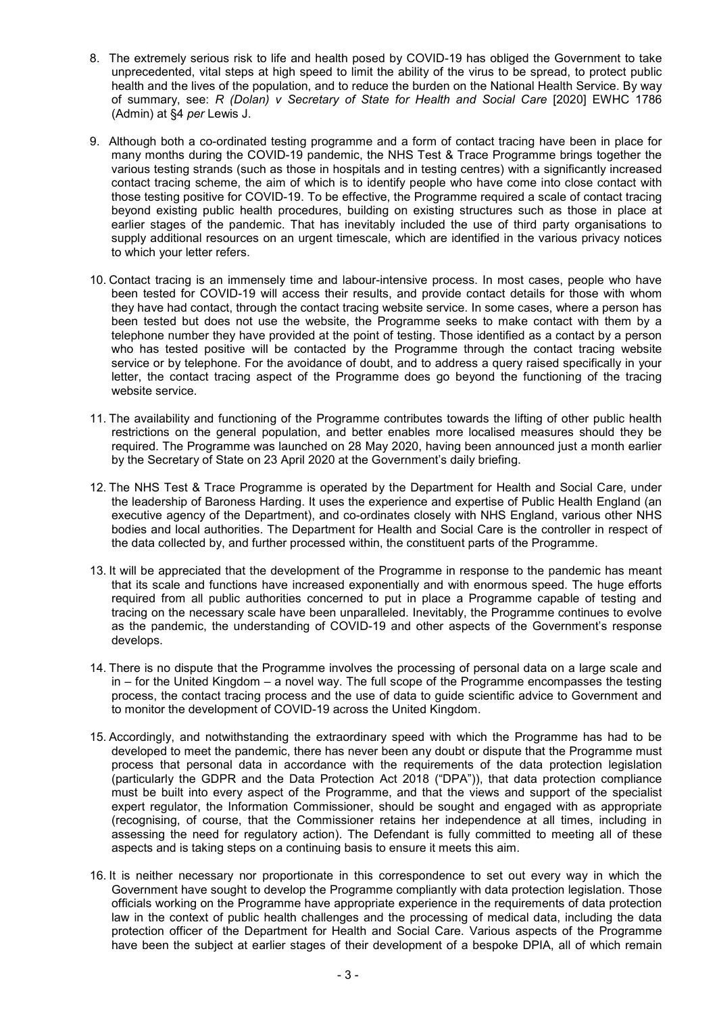- 8. The extremely serious risk to life and health posed by COVID-19 has obliged the Government to take unprecedented, vital steps at high speed to limit the ability of the virus to be spread, to protect public health and the lives of the population, and to reduce the burden on the National Health Service. By way of summary, see: *R (Dolan) v Secretary of State for Health and Social Care* [2020] EWHC 1786 (Admin) at §4 *per* Lewis J.
- 9. Although both a co-ordinated testing programme and a form of contact tracing have been in place for many months during the COVID-19 pandemic, the NHS Test & Trace Programme brings together the various testing strands (such as those in hospitals and in testing centres) with a significantly increased contact tracing scheme, the aim of which is to identify people who have come into close contact with those testing positive for COVID-19. To be effective, the Programme required a scale of contact tracing beyond existing public health procedures, building on existing structures such as those in place at earlier stages of the pandemic. That has inevitably included the use of third party organisations to supply additional resources on an urgent timescale, which are identified in the various privacy notices to which your letter refers.
- 10. Contact tracing is an immensely time and labour-intensive process. In most cases, people who have been tested for COVID-19 will access their results, and provide contact details for those with whom they have had contact, through the contact tracing website service. In some cases, where a person has been tested but does not use the website, the Programme seeks to make contact with them by a telephone number they have provided at the point of testing. Those identified as a contact by a person who has tested positive will be contacted by the Programme through the contact tracing website service or by telephone. For the avoidance of doubt, and to address a query raised specifically in your letter, the contact tracing aspect of the Programme does go beyond the functioning of the tracing website service.
- 11. The availability and functioning of the Programme contributes towards the lifting of other public health restrictions on the general population, and better enables more localised measures should they be required. The Programme was launched on 28 May 2020, having been announced just a month earlier by the Secretary of State on 23 April 2020 at the Government's daily briefing.
- 12. The NHS Test & Trace Programme is operated by the Department for Health and Social Care, under the leadership of Baroness Harding. It uses the experience and expertise of Public Health England (an executive agency of the Department), and co-ordinates closely with NHS England, various other NHS bodies and local authorities. The Department for Health and Social Care is the controller in respect of the data collected by, and further processed within, the constituent parts of the Programme.
- 13. It will be appreciated that the development of the Programme in response to the pandemic has meant that its scale and functions have increased exponentially and with enormous speed. The huge efforts required from all public authorities concerned to put in place a Programme capable of testing and tracing on the necessary scale have been unparalleled. Inevitably, the Programme continues to evolve as the pandemic, the understanding of COVID-19 and other aspects of the Government's response develops.
- 14. There is no dispute that the Programme involves the processing of personal data on a large scale and in – for the United Kingdom – a novel way. The full scope of the Programme encompasses the testing process, the contact tracing process and the use of data to guide scientific advice to Government and to monitor the development of COVID-19 across the United Kingdom.
- 15. Accordingly, and notwithstanding the extraordinary speed with which the Programme has had to be developed to meet the pandemic, there has never been any doubt or dispute that the Programme must process that personal data in accordance with the requirements of the data protection legislation (particularly the GDPR and the Data Protection Act 2018 ("DPA")), that data protection compliance must be built into every aspect of the Programme, and that the views and support of the specialist expert regulator, the Information Commissioner, should be sought and engaged with as appropriate (recognising, of course, that the Commissioner retains her independence at all times, including in assessing the need for regulatory action). The Defendant is fully committed to meeting all of these aspects and is taking steps on a continuing basis to ensure it meets this aim.
- 16. It is neither necessary nor proportionate in this correspondence to set out every way in which the Government have sought to develop the Programme compliantly with data protection legislation. Those officials working on the Programme have appropriate experience in the requirements of data protection law in the context of public health challenges and the processing of medical data, including the data protection officer of the Department for Health and Social Care. Various aspects of the Programme have been the subject at earlier stages of their development of a bespoke DPIA, all of which remain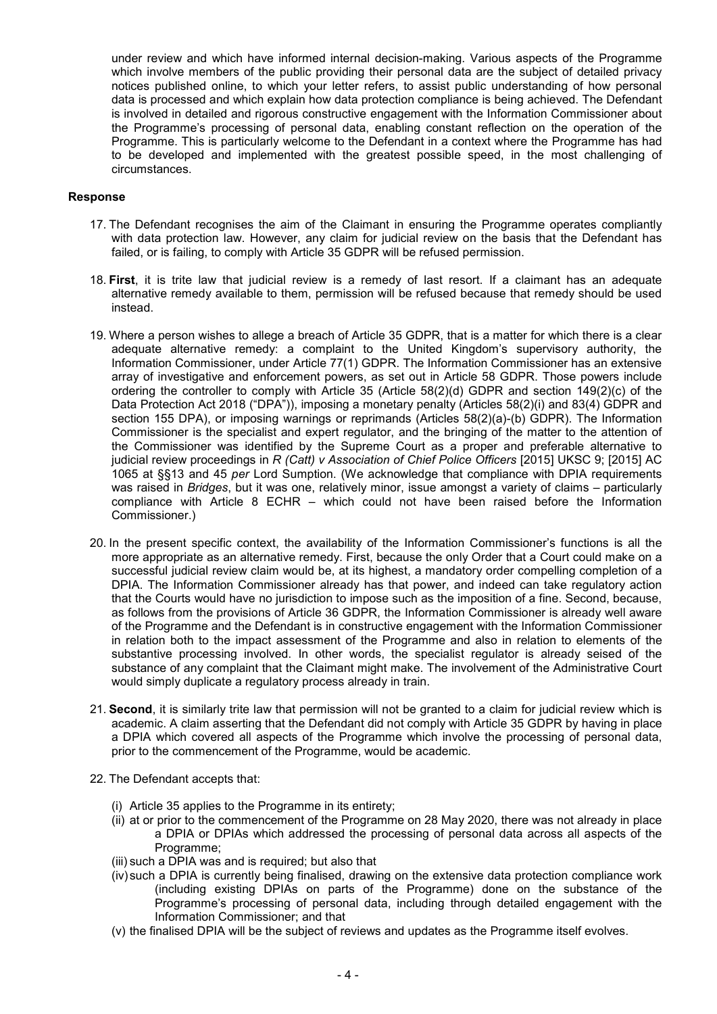under review and which have informed internal decision-making. Various aspects of the Programme which involve members of the public providing their personal data are the subject of detailed privacy notices published online, to which your letter refers, to assist public understanding of how personal data is processed and which explain how data protection compliance is being achieved. The Defendant is involved in detailed and rigorous constructive engagement with the Information Commissioner about the Programme's processing of personal data, enabling constant reflection on the operation of the Programme. This is particularly welcome to the Defendant in a context where the Programme has had to be developed and implemented with the greatest possible speed, in the most challenging of circumstances.

### **Response**

- 17. The Defendant recognises the aim of the Claimant in ensuring the Programme operates compliantly with data protection law. However, any claim for judicial review on the basis that the Defendant has failed, or is failing, to comply with Article 35 GDPR will be refused permission.
- 18. **First**, it is trite law that judicial review is a remedy of last resort. If a claimant has an adequate alternative remedy available to them, permission will be refused because that remedy should be used instead.
- 19. Where a person wishes to allege a breach of Article 35 GDPR, that is a matter for which there is a clear adequate alternative remedy: a complaint to the United Kingdom's supervisory authority, the Information Commissioner, under Article 77(1) GDPR. The Information Commissioner has an extensive array of investigative and enforcement powers, as set out in Article 58 GDPR. Those powers include ordering the controller to comply with Article 35 (Article 58(2)(d) GDPR and section 149(2)(c) of the Data Protection Act 2018 ("DPA")), imposing a monetary penalty (Articles 58(2)(i) and 83(4) GDPR and section 155 DPA), or imposing warnings or reprimands (Articles 58(2)(a)-(b) GDPR). The Information Commissioner is the specialist and expert regulator, and the bringing of the matter to the attention of the Commissioner was identified by the Supreme Court as a proper and preferable alternative to judicial review proceedings in *R (Catt) v Association of Chief Police Officers* [2015] UKSC 9; [2015] AC 1065 at §§13 and 45 *per* Lord Sumption. (We acknowledge that compliance with DPIA requirements was raised in *Bridges*, but it was one, relatively minor, issue amongst a variety of claims – particularly compliance with Article 8 ECHR – which could not have been raised before the Information Commissioner.)
- 20. In the present specific context, the availability of the Information Commissioner's functions is all the more appropriate as an alternative remedy. First, because the only Order that a Court could make on a successful judicial review claim would be, at its highest, a mandatory order compelling completion of a DPIA. The Information Commissioner already has that power, and indeed can take regulatory action that the Courts would have no jurisdiction to impose such as the imposition of a fine. Second, because, as follows from the provisions of Article 36 GDPR, the Information Commissioner is already well aware of the Programme and the Defendant is in constructive engagement with the Information Commissioner in relation both to the impact assessment of the Programme and also in relation to elements of the substantive processing involved. In other words, the specialist regulator is already seised of the substance of any complaint that the Claimant might make. The involvement of the Administrative Court would simply duplicate a regulatory process already in train.
- 21. **Second**, it is similarly trite law that permission will not be granted to a claim for judicial review which is academic. A claim asserting that the Defendant did not comply with Article 35 GDPR by having in place a DPIA which covered all aspects of the Programme which involve the processing of personal data, prior to the commencement of the Programme, would be academic.
- 22. The Defendant accepts that:
	- (i) Article 35 applies to the Programme in its entirety;
	- (ii) at or prior to the commencement of the Programme on 28 May 2020, there was not already in place a DPIA or DPIAs which addressed the processing of personal data across all aspects of the Programme;
	- (iii) such a DPIA was and is required; but also that
	- (iv)such a DPIA is currently being finalised, drawing on the extensive data protection compliance work (including existing DPIAs on parts of the Programme) done on the substance of the Programme's processing of personal data, including through detailed engagement with the Information Commissioner; and that
	- (v) the finalised DPIA will be the subject of reviews and updates as the Programme itself evolves.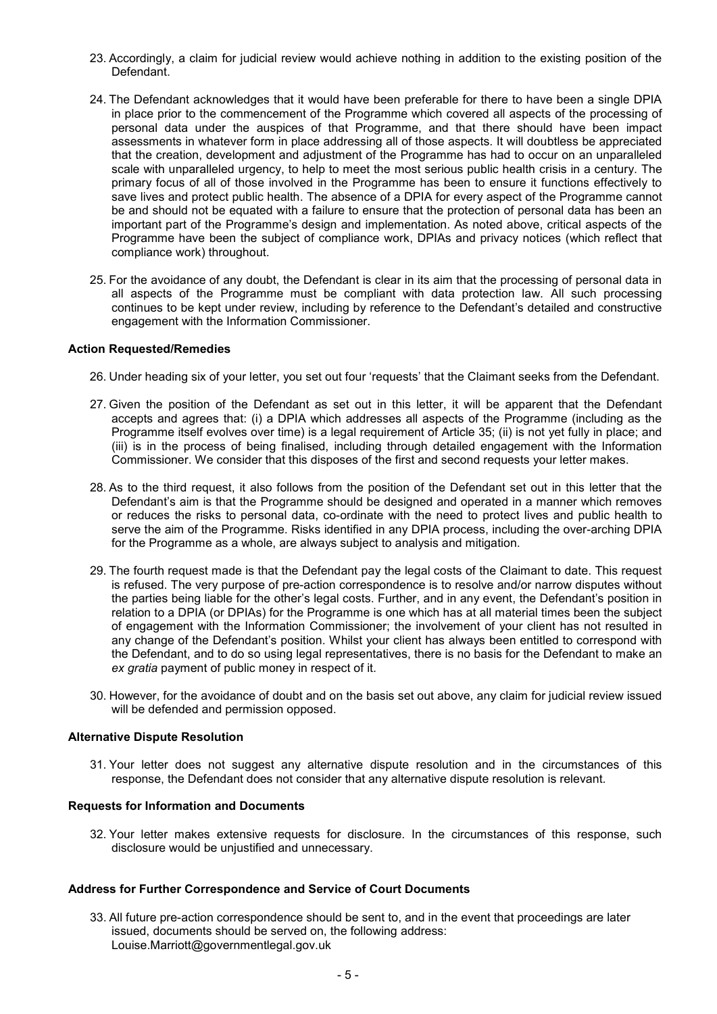- 23. Accordingly, a claim for judicial review would achieve nothing in addition to the existing position of the Defendant.
- 24. The Defendant acknowledges that it would have been preferable for there to have been a single DPIA in place prior to the commencement of the Programme which covered all aspects of the processing of personal data under the auspices of that Programme, and that there should have been impact assessments in whatever form in place addressing all of those aspects. It will doubtless be appreciated that the creation, development and adjustment of the Programme has had to occur on an unparalleled scale with unparalleled urgency, to help to meet the most serious public health crisis in a century. The primary focus of all of those involved in the Programme has been to ensure it functions effectively to save lives and protect public health. The absence of a DPIA for every aspect of the Programme cannot be and should not be equated with a failure to ensure that the protection of personal data has been an important part of the Programme's design and implementation. As noted above, critical aspects of the Programme have been the subject of compliance work, DPIAs and privacy notices (which reflect that compliance work) throughout.
- 25. For the avoidance of any doubt, the Defendant is clear in its aim that the processing of personal data in all aspects of the Programme must be compliant with data protection law. All such processing continues to be kept under review, including by reference to the Defendant's detailed and constructive engagement with the Information Commissioner.

### **Action Requested/Remedies**

- 26. Under heading six of your letter, you set out four 'requests' that the Claimant seeks from the Defendant.
- 27. Given the position of the Defendant as set out in this letter, it will be apparent that the Defendant accepts and agrees that: (i) a DPIA which addresses all aspects of the Programme (including as the Programme itself evolves over time) is a legal requirement of Article 35; (ii) is not yet fully in place; and (iii) is in the process of being finalised, including through detailed engagement with the Information Commissioner. We consider that this disposes of the first and second requests your letter makes.
- 28. As to the third request, it also follows from the position of the Defendant set out in this letter that the Defendant's aim is that the Programme should be designed and operated in a manner which removes or reduces the risks to personal data, co-ordinate with the need to protect lives and public health to serve the aim of the Programme. Risks identified in any DPIA process, including the over-arching DPIA for the Programme as a whole, are always subject to analysis and mitigation.
- 29. The fourth request made is that the Defendant pay the legal costs of the Claimant to date. This request is refused. The very purpose of pre-action correspondence is to resolve and/or narrow disputes without the parties being liable for the other's legal costs. Further, and in any event, the Defendant's position in relation to a DPIA (or DPIAs) for the Programme is one which has at all material times been the subject of engagement with the Information Commissioner; the involvement of your client has not resulted in any change of the Defendant's position. Whilst your client has always been entitled to correspond with the Defendant, and to do so using legal representatives, there is no basis for the Defendant to make an *ex gratia* payment of public money in respect of it.
- 30. However, for the avoidance of doubt and on the basis set out above, any claim for judicial review issued will be defended and permission opposed.

### **Alternative Dispute Resolution**

31. Your letter does not suggest any alternative dispute resolution and in the circumstances of this response, the Defendant does not consider that any alternative dispute resolution is relevant.

### **Requests for Information and Documents**

32. Your letter makes extensive requests for disclosure. In the circumstances of this response, such disclosure would be unjustified and unnecessary.

### **Address for Further Correspondence and Service of Court Documents**

33. All future pre-action correspondence should be sent to, and in the event that proceedings are later issued, documents should be served on, the following address: Louise.Marriott@governmentlegal.gov.uk